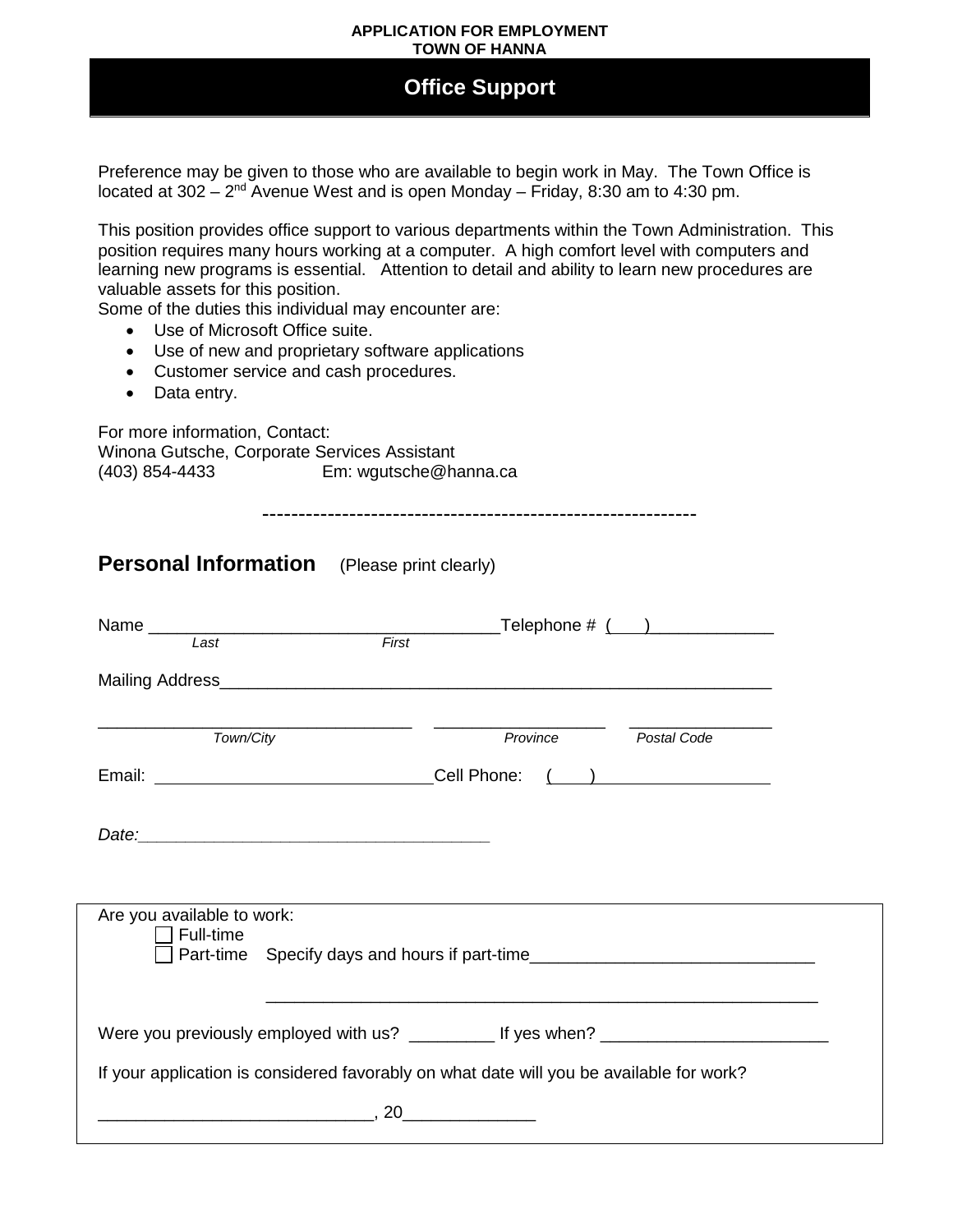## **APPLICATION FOR EMPLOYMENT TOWN OF HANNA**

## **Office Support**

Preference may be given to those who are available to begin work in May. The Town Office is located at  $302 - 2^{nd}$  Avenue West and is open Monday – Friday, 8:30 am to 4:30 pm.

This position provides office support to various departments within the Town Administration. This position requires many hours working at a computer. A high comfort level with computers and learning new programs is essential. Attention to detail and ability to learn new procedures are valuable assets for this position.

Some of the duties this individual may encounter are:

- Use of Microsoft Office suite.
- Use of new and proprietary software applications
- Customer service and cash procedures.
- Data entry.

For more information, Contact: Winona Gutsche, Corporate Services Assistant<br>(403) 854-4433 Em: wgutsche@ha Em: wgutsche@hanna.ca

------------------------------------------------------------

| <b>Personal Information</b> | (Please print clearly) |
|-----------------------------|------------------------|
|-----------------------------|------------------------|

| Last                                                                                                                        | $\overline{First}$                                                            |  |  |
|-----------------------------------------------------------------------------------------------------------------------------|-------------------------------------------------------------------------------|--|--|
|                                                                                                                             |                                                                               |  |  |
| Town/City                                                                                                                   | Province<br>Postal Code                                                       |  |  |
|                                                                                                                             | Email: <u>_______________________________Cell Phone: ( ) ________________</u> |  |  |
|                                                                                                                             |                                                                               |  |  |
|                                                                                                                             |                                                                               |  |  |
| Are you available to work:<br>Full-time<br>Part-time Specify days and hours if part-time___________________________________ |                                                                               |  |  |
| Were you previously employed with us? ___________ If yes when? __________________                                           |                                                                               |  |  |
| If your application is considered favorably on what date will you be available for work?                                    |                                                                               |  |  |
| . 20<br><u> 1989 - Johann Barn, mars an t-Amerikaansk politiker (</u>                                                       |                                                                               |  |  |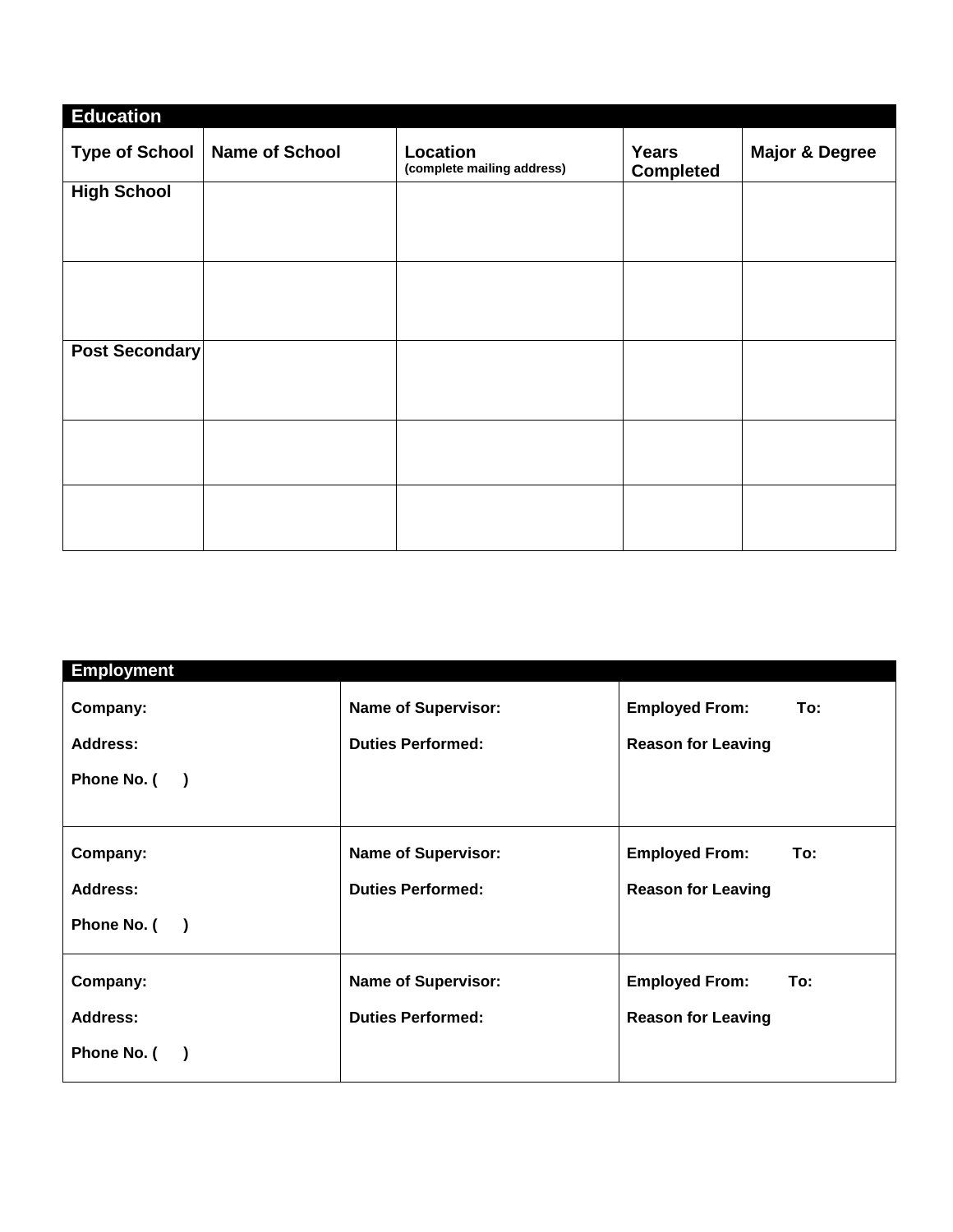| <b>Education</b>      |                       |                                        |                                  |                           |
|-----------------------|-----------------------|----------------------------------------|----------------------------------|---------------------------|
| <b>Type of School</b> | <b>Name of School</b> | Location<br>(complete mailing address) | <b>Years</b><br><b>Completed</b> | <b>Major &amp; Degree</b> |
| <b>High School</b>    |                       |                                        |                                  |                           |
|                       |                       |                                        |                                  |                           |
|                       |                       |                                        |                                  |                           |
|                       |                       |                                        |                                  |                           |
|                       |                       |                                        |                                  |                           |
|                       |                       |                                        |                                  |                           |
| Post Secondary        |                       |                                        |                                  |                           |
|                       |                       |                                        |                                  |                           |
|                       |                       |                                        |                                  |                           |
|                       |                       |                                        |                                  |                           |
|                       |                       |                                        |                                  |                           |
|                       |                       |                                        |                                  |                           |
|                       |                       |                                        |                                  |                           |
|                       |                       |                                        |                                  |                           |
|                       |                       |                                        |                                  |                           |

| <b>Employment</b>                       |                            |                              |  |  |
|-----------------------------------------|----------------------------|------------------------------|--|--|
| Company:                                | <b>Name of Supervisor:</b> | <b>Employed From:</b><br>To: |  |  |
| <b>Address:</b>                         | <b>Duties Performed:</b>   | <b>Reason for Leaving</b>    |  |  |
| Phone No. (<br>$\rightarrow$            |                            |                              |  |  |
|                                         |                            |                              |  |  |
| Company:                                | <b>Name of Supervisor:</b> | <b>Employed From:</b><br>To: |  |  |
| Address:                                | <b>Duties Performed:</b>   | <b>Reason for Leaving</b>    |  |  |
| Phone No. (<br>$\overline{\phantom{a}}$ |                            |                              |  |  |
| Company:                                | <b>Name of Supervisor:</b> | <b>Employed From:</b><br>To: |  |  |
| <b>Address:</b>                         | <b>Duties Performed:</b>   | <b>Reason for Leaving</b>    |  |  |
| Phone No. (                             |                            |                              |  |  |
|                                         |                            |                              |  |  |